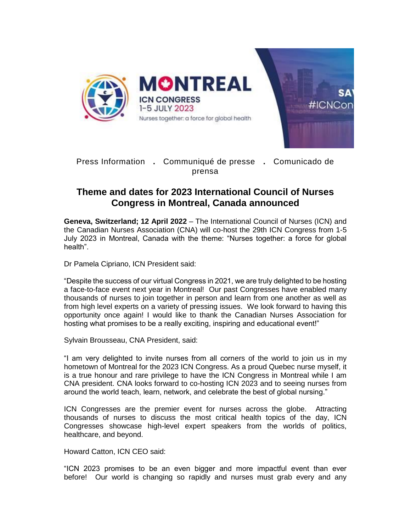

Press Information **.** Communiqué de presse **.** Comunicado de prensa

## **Theme and dates for 2023 International Council of Nurses Congress in Montreal, Canada announced**

**Geneva, Switzerland; 12 April 2022** – The International Council of Nurses (ICN) and the Canadian Nurses Association (CNA) will co-host the 29th ICN Congress from 1-5 July 2023 in Montreal, Canada with the theme: "Nurses together: a force for global health".

Dr Pamela Cipriano, ICN President said:

"Despite the success of our virtual Congress in 2021, we are truly delighted to be hosting a face-to-face event next year in Montreal! Our past Congresses have enabled many thousands of nurses to join together in person and learn from one another as well as from high level experts on a variety of pressing issues. We look forward to having this opportunity once again! I would like to thank the Canadian Nurses Association for hosting what promises to be a really exciting, inspiring and educational event!"

Sylvain Brousseau, CNA President, said:

"I am very delighted to invite nurses from all corners of the world to join us in my hometown of Montreal for the 2023 ICN Congress. As a proud Quebec nurse myself, it is a true honour and rare privilege to have the ICN Congress in Montreal while I am CNA president. CNA looks forward to co-hosting ICN 2023 and to seeing nurses from around the world teach, learn, network, and celebrate the best of global nursing."

ICN Congresses are the premier event for nurses across the globe. Attracting thousands of nurses to discuss the most critical health topics of the day, ICN Congresses showcase high-level expert speakers from the worlds of politics, healthcare, and beyond.

Howard Catton, ICN CEO said:

"ICN 2023 promises to be an even bigger and more impactful event than ever before! Our world is changing so rapidly and nurses must grab every and any